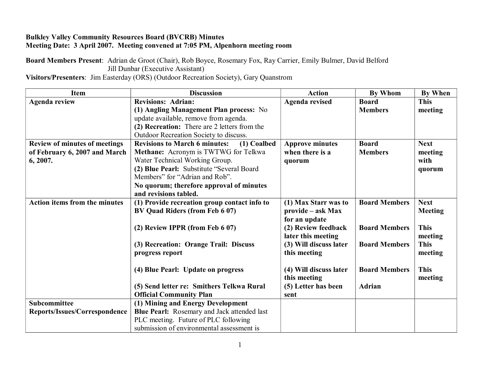## **Bulkley Valley Community Resources Board (BVCRB) Minutes Meeting Date: 3 April 2007. Meeting convened at 7:05 PM, Alpenhorn meeting room**

**Board Members Present**: Adrian de Groot (Chair), Rob Boyce, Rosemary Fox, Ray Carrier, Emily Bulmer, David Belford Jill Dunbar (Executive Assistant) **Visitors/Presenters**: Jim Easterday (ORS) (Outdoor Recreation Society), Gary Quanstrom

| <b>Item</b>                          | <b>Discussion</b>                                   | <b>Action</b>          | <b>By Whom</b>       | <b>By When</b> |
|--------------------------------------|-----------------------------------------------------|------------------------|----------------------|----------------|
| <b>Agenda review</b>                 | <b>Revisions: Adrian:</b>                           | <b>Agenda revised</b>  | <b>Board</b>         | <b>This</b>    |
|                                      | (1) Angling Management Plan process: No             |                        | <b>Members</b>       | meeting        |
|                                      | update available, remove from agenda.               |                        |                      |                |
|                                      | (2) Recreation: There are 2 letters from the        |                        |                      |                |
|                                      | Outdoor Recreation Society to discuss.              |                        |                      |                |
| <b>Review of minutes of meetings</b> | <b>Revisions to March 6 minutes:</b><br>(1) Coalbed | <b>Approve minutes</b> | <b>Board</b>         | <b>Next</b>    |
| of February 6, 2007 and March        | Methane: Acronym is TWTWG for Telkwa                | when there is a        | <b>Members</b>       | meeting        |
| 6, 2007.                             | Water Technical Working Group.                      | quorum                 |                      | with           |
|                                      | (2) Blue Pearl: Substitute "Several Board           |                        |                      | quorum         |
|                                      | Members" for "Adrian and Rob".                      |                        |                      |                |
|                                      | No quorum; therefore approval of minutes            |                        |                      |                |
|                                      | and revisions tabled.                               |                        |                      |                |
| <b>Action items from the minutes</b> | (1) Provide recreation group contact info to        | (1) Max Starr was to   | <b>Board Members</b> | <b>Next</b>    |
|                                      | BV Quad Riders (from Feb 6 07)                      | provide – ask Max      |                      | <b>Meeting</b> |
|                                      |                                                     | for an update          |                      |                |
|                                      | (2) Review IPPR (from Feb 6 07)                     | (2) Review feedback    | <b>Board Members</b> | <b>This</b>    |
|                                      |                                                     | later this meeting     |                      | meeting        |
|                                      | (3) Recreation: Orange Trail: Discuss               | (3) Will discuss later | <b>Board Members</b> | <b>This</b>    |
|                                      | progress report                                     | this meeting           |                      | meeting        |
|                                      |                                                     |                        |                      |                |
|                                      | (4) Blue Pearl: Update on progress                  | (4) Will discuss later | <b>Board Members</b> | <b>This</b>    |
|                                      |                                                     | this meeting           |                      | meeting        |
|                                      | (5) Send letter re: Smithers Telkwa Rural           | (5) Letter has been    | <b>Adrian</b>        |                |
|                                      | <b>Official Community Plan</b>                      | sent                   |                      |                |
| <b>Subcommittee</b>                  | (1) Mining and Energy Development                   |                        |                      |                |
| Reports/Issues/Correspondence        | <b>Blue Pearl:</b> Rosemary and Jack attended last  |                        |                      |                |
|                                      | PLC meeting. Future of PLC following                |                        |                      |                |
|                                      | submission of environmental assessment is           |                        |                      |                |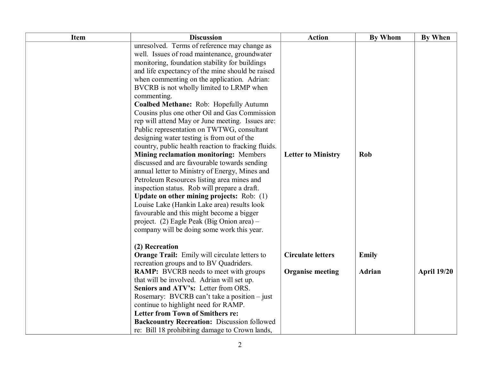| Item | <b>Discussion</b>                                       | <b>Action</b>             | <b>By Whom</b> | <b>By When</b>     |
|------|---------------------------------------------------------|---------------------------|----------------|--------------------|
|      | unresolved. Terms of reference may change as            |                           |                |                    |
|      | well. Issues of road maintenance, groundwater           |                           |                |                    |
|      | monitoring, foundation stability for buildings          |                           |                |                    |
|      | and life expectancy of the mine should be raised        |                           |                |                    |
|      | when commenting on the application. Adrian:             |                           |                |                    |
|      | BVCRB is not wholly limited to LRMP when<br>commenting. |                           |                |                    |
|      | Coalbed Methane: Rob: Hopefully Autumn                  |                           |                |                    |
|      | Cousins plus one other Oil and Gas Commission           |                           |                |                    |
|      | rep will attend May or June meeting. Issues are:        |                           |                |                    |
|      | Public representation on TWTWG, consultant              |                           |                |                    |
|      | designing water testing is from out of the              |                           |                |                    |
|      | country, public health reaction to fracking fluids.     |                           |                |                    |
|      | Mining reclamation monitoring: Members                  | <b>Letter to Ministry</b> | Rob            |                    |
|      | discussed and are favourable towards sending            |                           |                |                    |
|      | annual letter to Ministry of Energy, Mines and          |                           |                |                    |
|      | Petroleum Resources listing area mines and              |                           |                |                    |
|      | inspection status. Rob will prepare a draft.            |                           |                |                    |
|      | Update on other mining projects: Rob: (1)               |                           |                |                    |
|      | Louise Lake (Hankin Lake area) results look             |                           |                |                    |
|      | favourable and this might become a bigger               |                           |                |                    |
|      | project. (2) Eagle Peak (Big Onion area) –              |                           |                |                    |
|      | company will be doing some work this year.              |                           |                |                    |
|      | (2) Recreation                                          |                           |                |                    |
|      | <b>Orange Trail:</b> Emily will circulate letters to    | <b>Circulate letters</b>  | <b>Emily</b>   |                    |
|      | recreation groups and to BV Quadriders.                 |                           |                |                    |
|      | <b>RAMP:</b> BVCRB needs to meet with groups            | <b>Organise meeting</b>   | <b>Adrian</b>  | <b>April 19/20</b> |
|      | that will be involved. Adrian will set up.              |                           |                |                    |
|      | Seniors and ATV's: Letter from ORS.                     |                           |                |                    |
|      | Rosemary: BVCRB can't take a position – just            |                           |                |                    |
|      | continue to highlight need for RAMP.                    |                           |                |                    |
|      | <b>Letter from Town of Smithers re:</b>                 |                           |                |                    |
|      | <b>Backcountry Recreation: Discussion followed</b>      |                           |                |                    |
|      | re: Bill 18 prohibiting damage to Crown lands,          |                           |                |                    |
|      | $\overline{2}$                                          |                           |                |                    |